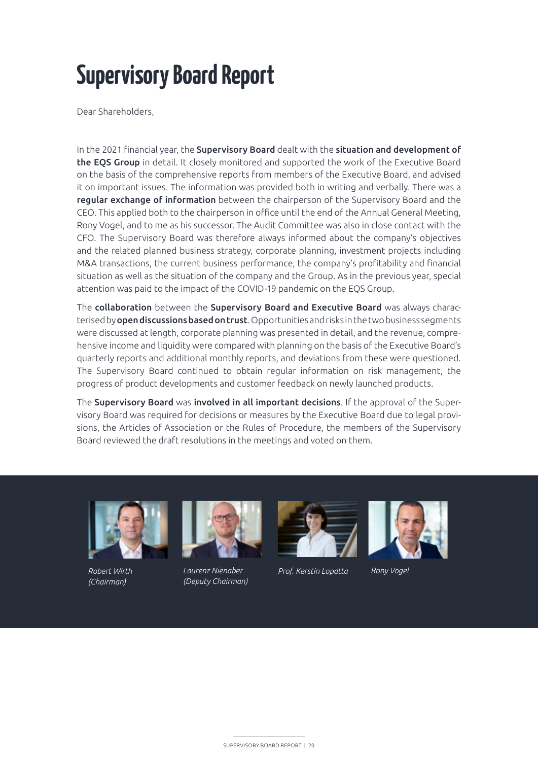# **Supervisory Board Report**

Dear Shareholders,

In the 2021 financial year, the Supervisory Board dealt with the situation and development of the EQS Group in detail. It closely monitored and supported the work of the Executive Board on the basis of the comprehensive reports from members of the Executive Board, and advised it on important issues. The information was provided both in writing and verbally. There was a regular exchange of information between the chairperson of the Supervisory Board and the CEO. This applied both to the chairperson in office until the end of the Annual General Meeting, Rony Vogel, and to me as his successor. The Audit Committee was also in close contact with the CFO. The Supervisory Board was therefore always informed about the company's objectives and the related planned business strategy, corporate planning, investment projects including M&A transactions, the current business performance, the company's profitability and financial situation as well as the situation of the company and the Group. As in the previous year, special attention was paid to the impact of the COVID-19 pandemic on the EQS Group.

The collaboration between the Supervisory Board and Executive Board was always characterised by open discussions based on trust. Opportunities and risks in the two business segments were discussed at length, corporate planning was presented in detail, and the revenue, comprehensive income and liquidity were compared with planning on the basis of the Executive Board's quarterly reports and additional monthly reports, and deviations from these were questioned. The Supervisory Board continued to obtain regular information on risk management, the progress of product developments and customer feedback on newly launched products.

The Supervisory Board was involved in all important decisions. If the approval of the Supervisory Board was required for decisions or measures by the Executive Board due to legal provisions, the Articles of Association or the Rules of Procedure, the members of the Supervisory Board reviewed the draft resolutions in the meetings and voted on them.



*(Chairman)*



*Laurenz Nienaber (Deputy Chairman) Robert Wirth Prof. Kerstin Lopatta Rony Vogel*



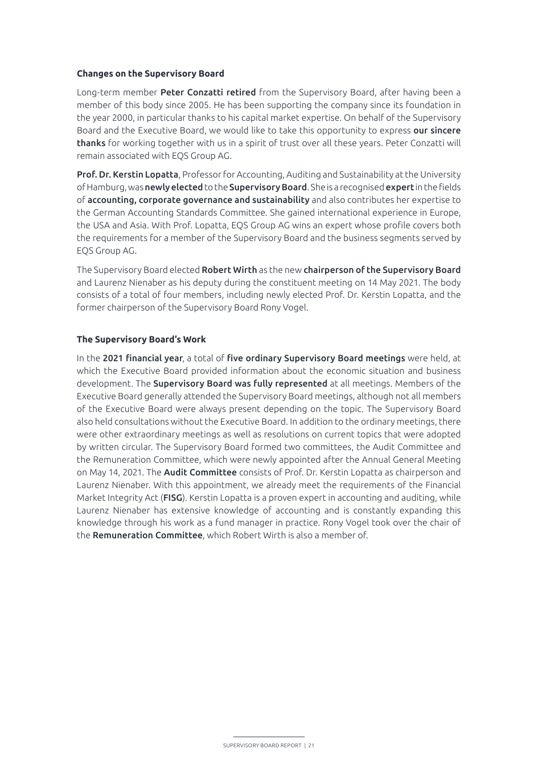## **Changes on the Supervisory Board**

Long-term member Peter Conzatti retired from the Supervisory Board, after having been a member of this body since 2005. He has been supporting the company since its foundation in the year 2000, in particular thanks to his capital market expertise. On behalf of the Supervisory Board and the Executive Board, we would like to take this opportunity to express our sincere thanks for working together with us in a spirit of trust over all these years. Peter Conzatti will remain associated with EQS Group AG.

Prof. Dr. Kerstin Lopatta, Professor for Accounting, Auditing and Sustainability at the University of Hamburg, was **newly elected** to the **Supervisory Board**. She is a recognised **expert** in the fields of accounting, corporate governance and sustainability and also contributes her expertise to the German Accounting Standards Committee. She gained international experience in Europe, the USA and Asia. With Prof. Lopatta, EQS Group AG wins an expert whose profile covers both the requirements for a member of the Supervisory Board and the business segments served by EQS Group AG.

The Supervisory Board elected Robert Wirth as the new chairperson of the Supervisory Board and Laurenz Nienaber as his deputy during the constituent meeting on 14 May 2021. The body consists of a total of four members, including newly elected Prof. Dr. Kerstin Lopatta, and the former chairperson of the Supervisory Board Rony Vogel.

#### **The Supervisory Board's Work**

In the 2021 financial year, a total of five ordinary Supervisory Board meetings were held, at which the Executive Board provided information about the economic situation and business development. The Supervisory Board was fully represented at all meetings. Members of the Executive Board generally attended the Supervisory Board meetings, although not all members of the Executive Board were always present depending on the topic. The Supervisory Board also held consultations without the Executive Board. In addition to the ordinary meetings, there were other extraordinary meetings as well as resolutions on current topics that were adopted by written circular. The Supervisory Board formed two committees, the Audit Committee and the Remuneration Committee, which were newly appointed after the Annual General Meeting on May 14, 2021. The **Audit Committee** consists of Prof. Dr. Kerstin Lopatta as chairperson and Laurenz Nienaber. With this appointment, we already meet the requirements of the Financial Market Integrity Act (FISG). Kerstin Lopatta is a proven expert in accounting and auditing, while Laurenz Nienaber has extensive knowledge of accounting and is constantly expanding this knowledge through his work as a fund manager in practice. Rony Vogel took over the chair of the **Remuneration Committee**, which Robert Wirth is also a member of.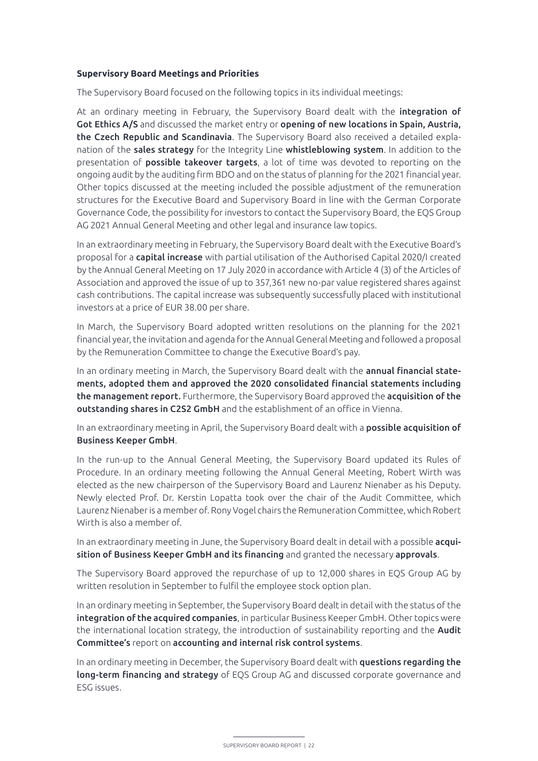## **Supervisory Board Meetings and Priorities**

The Supervisory Board focused on the following topics in its individual meetings:

At an ordinary meeting in February, the Supervisory Board dealt with the integration of Got Ethics A/S and discussed the market entry or opening of new locations in Spain, Austria, the Czech Republic and Scandinavia. The Supervisory Board also received a detailed explanation of the **sales strategy** for the Integrity Line whistleblowing system. In addition to the presentation of possible takeover targets, a lot of time was devoted to reporting on the ongoing audit by the auditing firm BDO and on the status of planning for the 2021 financial year. Other topics discussed at the meeting included the possible adjustment of the remuneration structures for the Executive Board and Supervisory Board in line with the German Corporate Governance Code, the possibility for investors to contact the Supervisory Board, the EQS Group AG 2021 Annual General Meeting and other legal and insurance law topics.

In an extraordinary meeting in February, the Supervisory Board dealt with the Executive Board's proposal for a capital increase with partial utilisation of the Authorised Capital 2020/I created by the Annual General Meeting on 17 July 2020 in accordance with Article 4 (3) of the Articles of Association and approved the issue of up to 357,361 new no-par value registered shares against cash contributions. The capital increase was subsequently successfully placed with institutional investors at a price of EUR 38.00 per share.

In March, the Supervisory Board adopted written resolutions on the planning for the 2021 financial year, the invitation and agenda for the Annual General Meeting and followed a proposal by the Remuneration Committee to change the Executive Board's pay.

In an ordinary meeting in March, the Supervisory Board dealt with the annual financial statements, adopted them and approved the 2020 consolidated financial statements including the management report. Furthermore, the Supervisory Board approved the acquisition of the outstanding shares in C2S2 GmbH and the establishment of an office in Vienna.

In an extraordinary meeting in April, the Supervisory Board dealt with a possible acquisition of Business Keeper GmbH.

In the run-up to the Annual General Meeting, the Supervisory Board updated its Rules of Procedure. In an ordinary meeting following the Annual General Meeting, Robert Wirth was elected as the new chairperson of the Supervisory Board and Laurenz Nienaber as his Deputy. Newly elected Prof. Dr. Kerstin Lopatta took over the chair of the Audit Committee, which Laurenz Nienaber is a member of. Rony Vogel chairs the Remuneration Committee, which Robert Wirth is also a member of.

In an extraordinary meeting in June, the Supervisory Board dealt in detail with a possible acquisition of Business Keeper GmbH and its financing and granted the necessary approvals.

The Supervisory Board approved the repurchase of up to 12,000 shares in EQS Group AG by written resolution in September to fulfil the employee stock option plan.

In an ordinary meeting in September, the Supervisory Board dealt in detail with the status of the integration of the acquired companies, in particular Business Keeper GmbH. Other topics were the international location strategy, the introduction of sustainability reporting and the **Audit** Committee's report on accounting and internal risk control systems.

In an ordinary meeting in December, the Supervisory Board dealt with questions regarding the long-term financing and strategy of EQS Group AG and discussed corporate governance and ESG issues.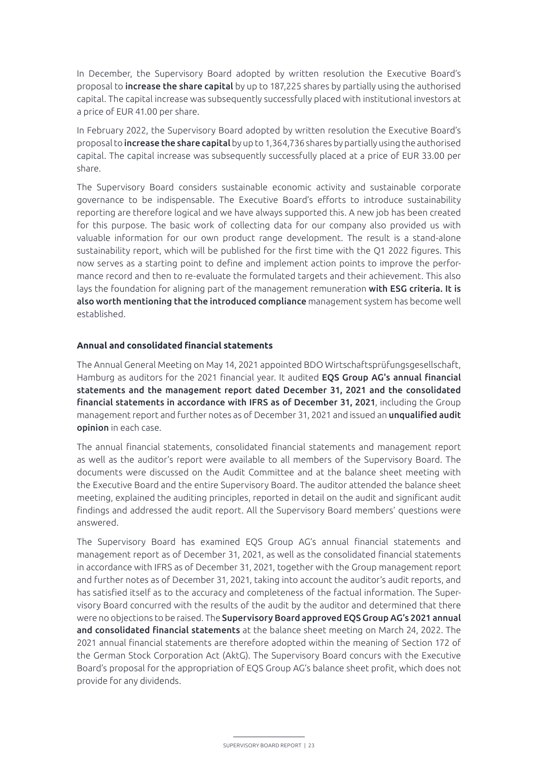In December, the Supervisory Board adopted by written resolution the Executive Board's proposal to increase the share capital by up to 187,225 shares by partially using the authorised capital. The capital increase was subsequently successfully placed with institutional investors at a price of EUR 41.00 per share.

In February 2022, the Supervisory Board adopted by written resolution the Executive Board's proposal to increase the share capital by up to 1,364,736 shares by partially using the authorised capital. The capital increase was subsequently successfully placed at a price of EUR 33.00 per share.

The Supervisory Board considers sustainable economic activity and sustainable corporate governance to be indispensable. The Executive Board's efforts to introduce sustainability reporting are therefore logical and we have always supported this. A new job has been created for this purpose. The basic work of collecting data for our company also provided us with valuable information for our own product range development. The result is a stand-alone sustainability report, which will be published for the first time with the Q1 2022 figures. This now serves as a starting point to define and implement action points to improve the performance record and then to re-evaluate the formulated targets and their achievement. This also lays the foundation for aligning part of the management remuneration with ESG criteria. It is also worth mentioning that the introduced compliance management system has become well established.

# **Annual and consolidated financial statements**

The Annual General Meeting on May 14, 2021 appointed BDO Wirtschaftsprüfungsgesellschaft, Hamburg as auditors for the 2021 financial year. It audited EQS Group AG's annual financial statements and the management report dated December 31, 2021 and the consolidated financial statements in accordance with IFRS as of December 31, 2021, including the Group management report and further notes as of December 31, 2021 and issued an unqualified audit opinion in each case.

The annual financial statements, consolidated financial statements and management report as well as the auditor's report were available to all members of the Supervisory Board. The documents were discussed on the Audit Committee and at the balance sheet meeting with the Executive Board and the entire Supervisory Board. The auditor attended the balance sheet meeting, explained the auditing principles, reported in detail on the audit and significant audit findings and addressed the audit report. All the Supervisory Board members' questions were answered.

The Supervisory Board has examined EQS Group AG's annual financial statements and management report as of December 31, 2021, as well as the consolidated financial statements in accordance with IFRS as of December 31, 2021, together with the Group management report and further notes as of December 31, 2021, taking into account the auditor's audit reports, and has satisfied itself as to the accuracy and completeness of the factual information. The Supervisory Board concurred with the results of the audit by the auditor and determined that there were no objections to be raised. The Supervisory Board approved EQS Group AG's 2021 annual and consolidated financial statements at the balance sheet meeting on March 24, 2022. The 2021 annual financial statements are therefore adopted within the meaning of Section 172 of the German Stock Corporation Act (AktG). The Supervisory Board concurs with the Executive Board's proposal for the appropriation of EQS Group AG's balance sheet profit, which does not provide for any dividends.